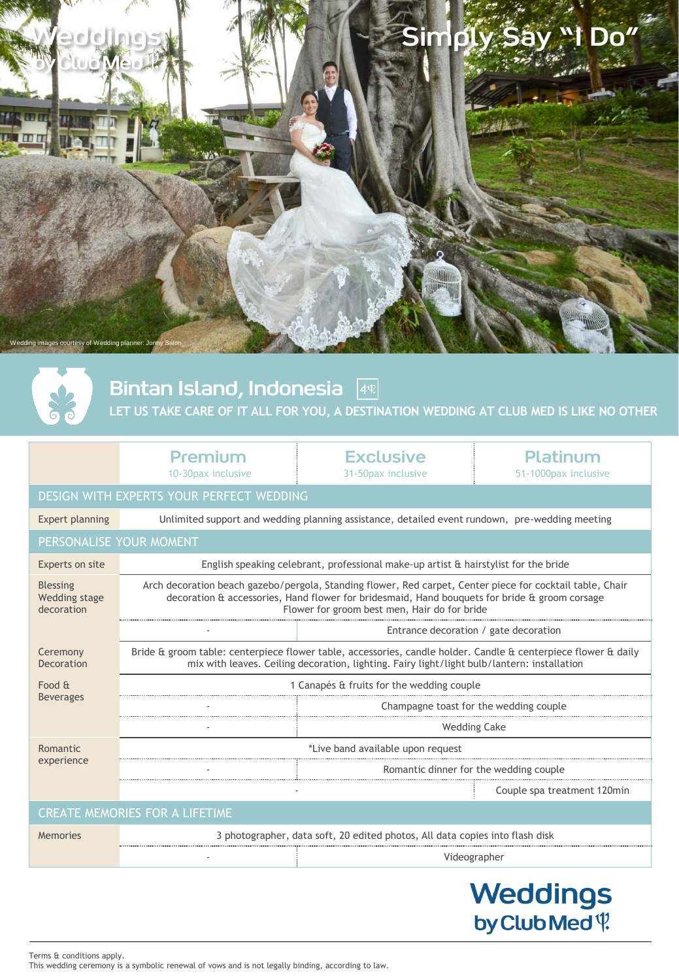



Bintan Island, Indonesia 4

# **LET US TAKE CARE OF IT ALL FOR YOU, A DESTINATION WEDDING AT CLUB MED IS LIKE NO OTHER**

| Premium             |  |
|---------------------|--|
| 10-30 pax inclusive |  |

**Exclusive** 31-50pax inclusive

Platinum 51-1000pax inclusive

# DESIGN WITH EXPERTS YOUR PERFECT WEDDING

Expert planning Unlimited support and wedding planning assistance, detailed event rundown, pre-wedding meeting PERSONALISE YOUR MOMENT Experts on site English speaking celebrant, professional make-up artist & hairstylist for the bride Blessing Wedding stage Arch decoration beach gazebo/pergola, Standing flower, Red carpet, Center piece for cocktail table, Chair decoration & accessories, Hand flower for bridesmaid, Hand bouquets for bride & groom corsage

decoration Flower for groom best men, Hair do for bride Entrance decoration / gate decoration Ceremony Decoration Bride & groom table: centerpiece flower table, accessories, candle holder. Candle & centerpiece flower & daily mix with leaves. Ceiling decoration, lighting. Fairy light/light bulb/lantern: installation Food & Beverages 1 Canapés & fruits for the wedding couple Champagne toast for the wedding couple Wedding Cake \*Live band available upon request

Romantic experience

# CREATE MEMORIES FOR A LIFETIME

| 3 photographer, data soft, 20 edited photos, All data copies into flash disk |  |
|------------------------------------------------------------------------------|--|
| /ideographer                                                                 |  |

**Weddings** by Club Med \?

Couple spa treatment 120min

Romantic dinner for the wedding couple

Terms & conditions apply. This wedding ceremony is a symbolic renewal of vows and is not legally binding, according to law.